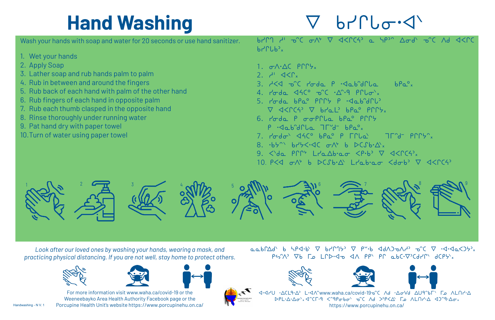Wash your hands with soap and water for 20 seconds or use hand sanitizer.

- 1. Wet your hands
- 2. Apply Soap
- 3. Lather soap and rub hands palm to palm
- 4. Rub in between and around the fingers
- 5. Rub back of each hand with palm of the other hand
- 6. Rub fingers of each hand in opposite palm
- 7. Rub each thumb clasped in the opposite hand
- 8. Rinse thoroughly under running water
- 9. Pat hand dry with paper towel
- 10. Turn of water using paper towel

 $b$ <sup>-</sup> $c$  $b$ <sup>- $x$ </sup>

- $1.$   $\sigma \wedge \Delta C$   $P \cap F_x$
- $2.$   $4'$   $35'$
- 3.  $A < 10^{-10}$   $A = 10^{-10}$   $A = 10^{-10}$   $A = 10^{-10}$   $A = 10^{-10}$   $A = 10^{-10}$   $A = 10^{-10}$   $A = 10^{-10}$   $A = 10^{-10}$   $A = 10^{-10}$   $A = 10^{-10}$   $A = 10^{-10}$   $A = 10^{-10}$   $A = 10^{-10}$   $A = 10^{-10}$   $A = 10^{-10}$   $A = 10^{-10}$   $A = 10^{-10}$   $A$
- 4.  $10^{-4}$   $\sim 10^{-4}$   $\sim 10^{-4}$   $\sim 10^{-4}$   $\sim 10^{-4}$   $\sim 10^{-4}$   $\sim 10^{-4}$   $\sim 10^{-4}$   $\sim 10^{-4}$   $\sim 10^{-4}$   $\sim 10^{-4}$   $\sim 10^{-4}$   $\sim 10^{-4}$   $\sim 10^{-4}$   $\sim 10^{-4}$   $\sim 10^{-4}$   $\sim 10^{-4}$   $\sim 10^{-4}$   $\sim 10^{-4}$   $\sim 10^{-4}$
- 5.  $100^{\circ}$  bpa  $90^{\circ}$   $90^{\circ}$   $90^{\circ}$   $100^{\circ}$  $\nabla$   $\triangleleft$   $\triangleleft$   $\triangleleft$   $\triangleleft$   $\triangleleft$   $\triangleleft$   $\triangleleft$   $\triangleleft$   $\triangleleft$   $\triangleleft$   $\triangleleft$   $\triangleleft$   $\triangleleft$   $\triangleleft$   $\triangleleft$   $\triangleleft$   $\triangleleft$   $\triangleleft$   $\triangleleft$   $\triangleleft$   $\triangleleft$   $\triangleleft$   $\triangleleft$   $\triangleleft$   $\triangleleft$   $\triangleleft$   $\triangleleft$   $\triangleleft$   $\triangleleft$   $\triangleleft$   $\triangleleft$   $\triangleleft$   $\triangleleft$   $\triangleleft$   $\triangleleft$   $\triangleleft$
- 6. Pode P oopple bpa pppy  $P \cdot \triangleleft \circ P \circ P \circ P$
- 7.  $7 9 = 7$   $35 = 7$   $35 = 7$
- 8.  $\cdot b$ 5"  $b$ 75< $\cdot$ <10  $\sigma$ A,  $b$   $\sim$ CS $b \cdot \Delta$ ,
- 9.  $\langle$ de Prr<sup>,</sup> Lre $\Delta b$ .  $\sigma$   $\langle P \cdot b \rangle$   $\nabla$   $\langle \langle C \cdot C \cdot A \rangle$
- 10.  $P\leq 10.7$  b  $D(Sb\cdot A + B\cdot a\sigma \leq 10.6)$   $\nabla \leq 10.6$





 $b70$   $\rightarrow$   $c$   $\rightarrow$   $c$   $\rightarrow$   $b$   $\rightarrow$   $c$   $\rightarrow$   $c$   $\rightarrow$   $c$   $\rightarrow$   $c$   $\rightarrow$   $c$   $\rightarrow$   $c$   $\rightarrow$   $c$   $\rightarrow$   $c$   $\rightarrow$   $c$   $\rightarrow$   $c$   $\rightarrow$   $c$   $\rightarrow$   $c$   $\rightarrow$   $c$   $\rightarrow$   $c$   $\rightarrow$   $c$   $\rightarrow$   $c$   $\rightarrow$   $c$   $\rightarrow$   $c$   $\rightarrow$   $c$   $\rightarrow$   $c$   $\rightarrow$   $c$ 

### **Hand Washing**

<1.4YU . ΔCL9.Δ' L.<1 Λ'www.waha.ca/covid-19 - C Λ d . Δσ Vd ΔU9" bΓ ΛΕΛΗ. Δ https://www.porcupinehu.on.ca/

*Look after our loved ones by washing your hands, wearing a mask, and practicing physical distancing. If you are not well, stay home to protect others.*

> For more information visit www.waha.ca/covid-19 or the Weeneebayko Area Health Authority Facebook page or the Porcupine Health Unit's website https://www.porcupinehu.on.ca/







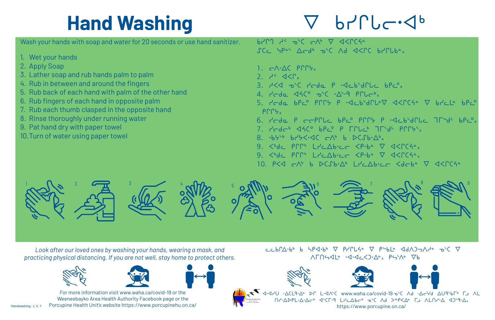Wash your hands with soap and water for 20 seconds or use hand sanitizer.

- 1. Wet your hands
- 2. Apply Soap
- 3. Lather soap and rub hands palm to palm
- 4. Rub in between and around the fingers
- 5. Rub back of each hand with palm of the other hand
- 6. Rub fingers of each hand in opposite palm
- 7. Rub each thumb clasped in the opposite hand
- 8. Rinse thoroughly under running water
- 9. Pat hand dry with paper towel
- 10. Turn of water using paper towel

 $b70$   $A^5$   $D^6$   $C^{\prime\prime}$   $D^4$   $D^4$   $D^4$   $D^4$ SCC YPah Acdb obc Ad AKPC brPlbax

- 1.  $\subset \wedge^{\cdot} \triangle C$  Prry<sub>x</sub>
- 2.  $A^2 < 1$
- 3.  $A<4$   $D<sup>6</sup>C$   $P-dq$   $P-dcb+dPbc$   $bPc^{\circ}x$
- 4.  $r'$ cda  $460^\circ$  o'c  $\cdot \Delta^{4} \cdot 9$  prich,
- $P \Gamma$
- 6. Peda P eeprle bpc PPP7 P acbidrue 75d bpc.
- 7. Pede<sup>6</sup> <4C° bpc° P Fruct 75'd' PPPY, 8.  $\cdot b555$   $b75550$   $C\rightarrow 0$   $b$   $D\left(\int b\cdot \Delta^{b} x\right)$
- $\langle 0, 0 \rangle$   $\langle 0, 0 \rangle$   $\langle 0, 0 \rangle$   $\langle 0, 0 \rangle$   $\langle 0, 0 \rangle$   $\langle 0, 0 \rangle$   $\langle 0, 0 \rangle$   $\langle 0, 0 \rangle$   $\langle 0, 0 \rangle$   $\langle 0, 0 \rangle$   $\langle 0, 0 \rangle$   $\langle 0, 0 \rangle$   $\langle 0, 0 \rangle$   $\langle 0, 0 \rangle$   $\langle 0, 0 \rangle$   $\langle 0, 0 \rangle$   $\langle 0, 0 \rangle$   $\langle 0, 0 \rangle$   $\langle 0$
- 
- 9.  $&&&&&&\rightarrow 9$
- 10.  $P\leq 1$   $\subset$   $\wedge$ <sup>2</sup> b  $\triangleright$   $\subset$   $\Gamma$ b  $\triangle$   $\cong$   $\sim$   $\sim$   $\Gamma$   $\cong$   $\Gamma$   $\cong$   $\Gamma$   $\cong$   $\Gamma$   $\cong$   $\Gamma$   $\cong$   $\Gamma$   $\cong$   $\Gamma$   $\cong$   $\Gamma$   $\cong$   $\Gamma$   $\cong$   $\Gamma$   $\cong$   $\Gamma$   $\cong$   $\Gamma$   $\cong$   $\Gamma$   $\cong$   $\Gamma$   $\cong$

Handwashing - L V. 1

5.  $1 - 5$   $1 - 5$   $1 - 5$   $1 - 5$   $1 - 5$   $1 - 5$   $1 - 5$   $1 - 5$   $1 - 5$   $1 - 5$   $1 - 5$   $1 - 5$   $1 - 5$   $1 - 5$   $1 - 5$   $1 - 5$   $1 - 5$   $1 - 5$   $1 - 5$   $1 - 5$   $1 - 5$   $1 - 5$   $1 - 5$   $1 - 5$   $1 - 5$   $1 - 5$   $1 - 5$   $1 - 5$   $1 - 5$   $1 - 5$   $1 - 5$ 





## **Hand Washing**

# $b$  $r$  $b$  $c$  $\lnot$  $d$  $b$

ש G-Aru . ACL9. בח AL מ-C Ad . Ac-Vd מ-C Ad . בח אל אים השי  $\Lambda$ ۲۰ $\Delta$ DPL· $\Delta$ · $\Delta$ c<sup>6</sup> <1·CF·9 Lrc $\Delta$ bc<sup>6</sup>  $\sigma$ <sup>5</sup>C  $\Lambda$ d ><sup>2</sup>P< $\Delta$ <sup>e</sup> Γ  $\Lambda$ L $\Lambda$ r· $\Delta$  <1)·9· $\Delta$ <sub>x</sub> https://www.porcupine.on.ca/

*Look after our loved ones by washing your hands, wearing a mask, and practicing physical distancing. If you are not well, stay home to protect others.*







For more information visit www.waha.ca/covid-19 or the Weeneebayko Area Health Authority Facebook page or the Porcupine Health Unit's website https://www.porcupinehu.on.ca/  $C \subset b \cap \Delta \cdot b^b$  b  $\Delta \cdot b^b \nabla$  prints  $\nabla$  prince  $\Delta \cdot b^c \Delta \cdot \nabla$  $\Lambda \Gamma \Gamma$ 544.  $\Lambda \Gamma$